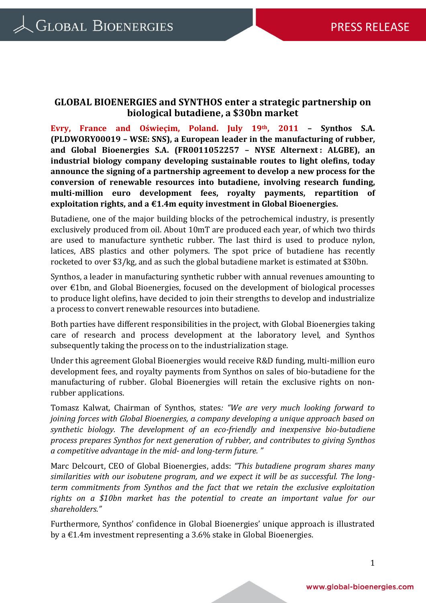## **GLOBAL BIOENERGIES and SYNTHOS enter a strategic partnership on biological butadiene, a \$30bn market**

**Evry, France and Oświeçim, Poland. July 19th, 2011 – Synthos S.A. (PLDWORY00019 – WSE: SNS), a European leader in the manufacturing of rubber, and Global Bioenergies S.A. (FR0011052257 – NYSE Alternext : ALGBE), an industrial biology company developing sustainable routes to light olefins, today announce the signing of a partnership agreement to develop a new process for the conversion of renewable resources into butadiene, involving research funding, multi-million euro development fees, royalty payments, repartition of exploitation rights, and a €1.4m equity investment in Global Bioenergies.** 

Butadiene, one of the major building blocks of the petrochemical industry, is presently exclusively produced from oil. About 10mT are produced each year, of which two thirds are used to manufacture synthetic rubber. The last third is used to produce nylon, latices, ABS plastics and other polymers. The spot price of butadiene has recently rocketed to over \$3/kg, and as such the global butadiene market is estimated at \$30bn.

Synthos, a leader in manufacturing synthetic rubber with annual revenues amounting to over €1bn, and Global Bioenergies, focused on the development of biological processes to produce light olefins, have decided to join their strengths to develop and industrialize a process to convert renewable resources into butadiene.

Both parties have different responsibilities in the project, with Global Bioenergies taking care of research and process development at the laboratory level, and Synthos subsequently taking the process on to the industrialization stage.

Under this agreement Global Bioenergies would receive R&D funding, multi-million euro development fees, and royalty payments from Synthos on sales of bio-butadiene for the manufacturing of rubber. Global Bioenergies will retain the exclusive rights on nonrubber applications.

Tomasz Kalwat, Chairman of Synthos, states*: "We are very much looking forward to joining forces with Global Bioenergies, a company developing a unique approach based on synthetic biology. The development of an eco-friendly and inexpensive bio-butadiene process prepares Synthos for next generation of rubber, and contributes to giving Synthos a competitive advantage in the mid- and long-term future. "*

Marc Delcourt, CEO of Global Bioenergies, adds: *"This butadiene program shares many similarities with our isobutene program, and we expect it will be as successful. The longterm commitments from Synthos and the fact that we retain the exclusive exploitation rights on a \$10bn market has the potential to create an important value for our shareholders."*

Furthermore, Synthos' confidence in Global Bioenergies' unique approach is illustrated by a  $\text{\textsterling}1.4m$  investment representing a 3.6% stake in Global Bioenergies.